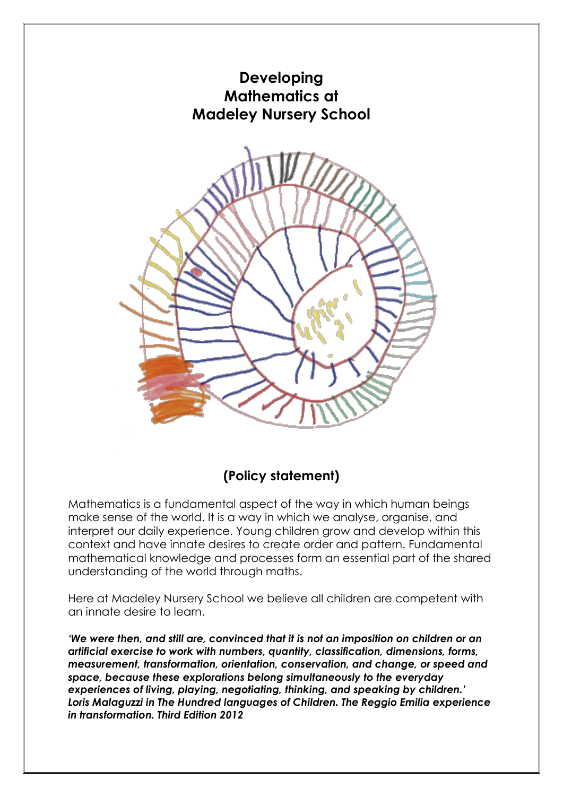

## **(Policy statement)**

Mathematics is a fundamental aspect of the way in which human beings make sense of the world. It is a way in which we analyse, organise, and interpret our daily experience. Young children grow and develop within this context and have innate desires to create order and pattern. Fundamental mathematical knowledge and processes form an essential part of the shared understanding of the world through maths.

Here at Madeley Nursery School we believe all children are competent with an innate desire to learn.

*'We were then, and still are, convinced that it is not an imposition on children or an artificial exercise to work with numbers, quantity, classification, dimensions, forms, measurement, transformation, orientation, conservation, and change, or speed and space, because these explorations belong simultaneously to the everyday experiences of living, playing, negotiating, thinking, and speaking by children.' Loris Malaguzzi in The Hundred languages of Children. The Reggio Emilia experience in transformation. Third Edition 2012*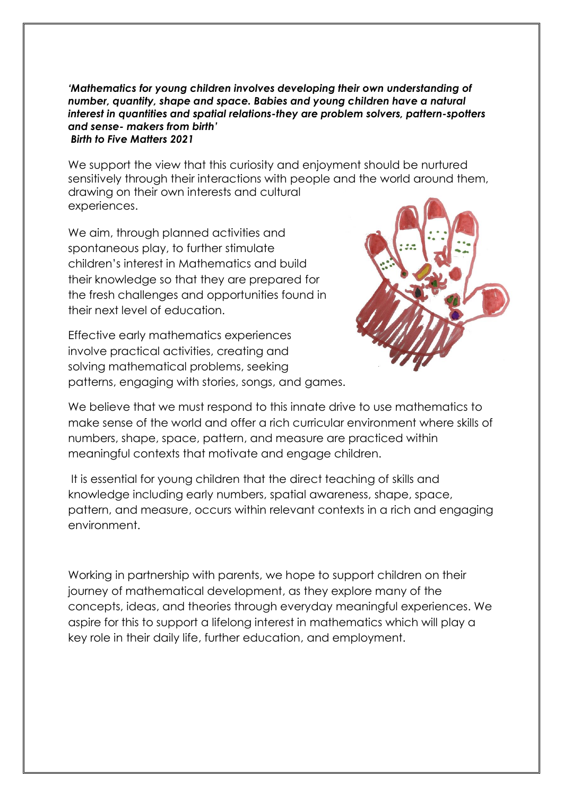*'Mathematics for young children involves developing their own understanding of number, quantity, shape and space. Babies and young children have a natural interest in quantities and spatial relations-they are problem solvers, pattern-spotters and sense- makers from birth' Birth to Five Matters 2021*

We support the view that this curiosity and enjoyment should be nurtured sensitively through their interactions with people and the world around them, drawing on their own interests and cultural experiences.

We aim, through planned activities and spontaneous play, to further stimulate children's interest in Mathematics and build their knowledge so that they are prepared for the fresh challenges and opportunities found in their next level of education.

Effective early mathematics experiences involve practical activities, creating and solving mathematical problems, seeking patterns, engaging with stories, songs, and games.



We believe that we must respond to this innate drive to use mathematics to make sense of the world and offer a rich curricular environment where skills of numbers, shape, space, pattern, and measure are practiced within meaningful contexts that motivate and engage children.

It is essential for young children that the direct teaching of skills and knowledge including early numbers, spatial awareness, shape, space, pattern, and measure, occurs within relevant contexts in a rich and engaging environment.

Working in partnership with parents, we hope to support children on their journey of mathematical development, as they explore many of the concepts, ideas, and theories through everyday meaningful experiences. We aspire for this to support a lifelong interest in mathematics which will play a key role in their daily life, further education, and employment.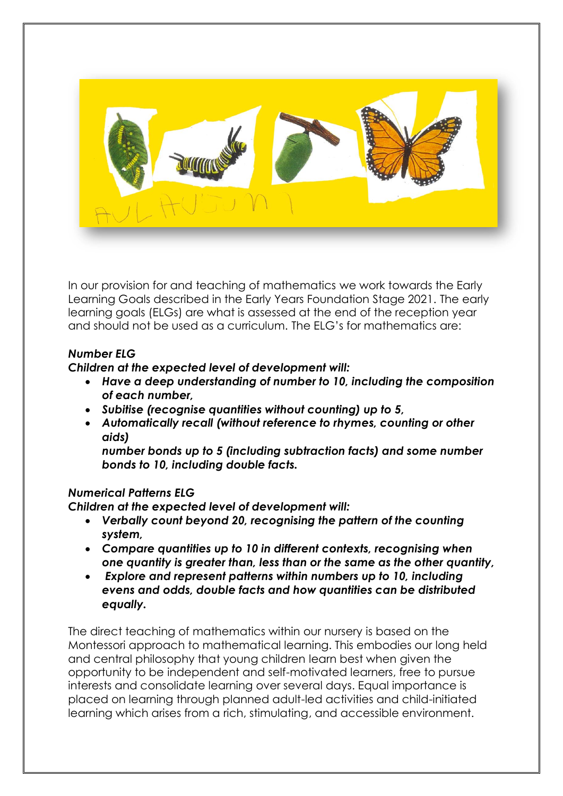

In our provision for and teaching of mathematics we work towards the Early Learning Goals described in the Early Years Foundation Stage 2021. The early learning goals (ELGs) are what is assessed at the end of the reception year and should not be used as a curriculum. The ELG's for mathematics are:

#### *Number ELG*

*Children at the expected level of development will:* 

- *Have a deep understanding of number to 10, including the composition of each number,*
- *Subitise (recognise quantities without counting) up to 5,*
- *Automatically recall (without reference to rhymes, counting or other aids)*

*number bonds up to 5 (including subtraction facts) and some number bonds to 10, including double facts.* 

#### *Numerical Patterns ELG*

*Children at the expected level of development will:* 

- *Verbally count beyond 20, recognising the pattern of the counting system,*
- *Compare quantities up to 10 in different contexts, recognising when one quantity is greater than, less than or the same as the other quantity,*
- *Explore and represent patterns within numbers up to 10, including evens and odds, double facts and how quantities can be distributed equally.*

The direct teaching of mathematics within our nursery is based on the Montessori approach to mathematical learning. This embodies our long held and central philosophy that young children learn best when given the opportunity to be independent and self-motivated learners, free to pursue interests and consolidate learning over several days. Equal importance is placed on learning through planned adult-led activities and child-initiated learning which arises from a rich, stimulating, and accessible environment.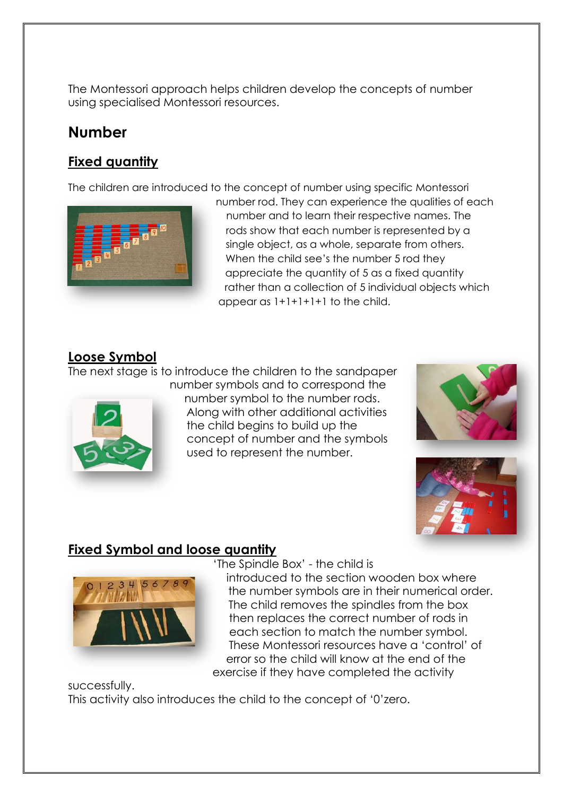The Montessori approach helps children develop the concepts of number using specialised Montessori resources.

# **Number**

## **Fixed quantity**

[The children are introduced to](http://www.google.co.uk/url?sa=i&rct=j&q=&esrc=s&frm=1&source=images&cd=&cad=rja&uact=8&ved=0CAcQjRxqFQoTCLOZ1qO7y8cCFcW2GgodoqcCww&url=http://orlandomontessoritraining.com/academic-phase.html&ei=tingVbNmxe1qos-KmAw&psig=AFQjCNGThTmviXCNoda0IVN1-mVCLvmu9A&ust=1440840434500437) the concept of number using specific Montessori



number rod. They can experience the qualities of each number and to learn their respective names. The rods show that each number is represented by a single object, as a whole, separate from others. When the child see's the number 5 rod they appreciate the quantity of 5 as a fixed quantity rather than a collection of 5 individual objects which appear as 1+1+1+1+1 to the child.

## **Loose Symbol**

The next stage is to introduce the children to the sandpaper



number symbols and to correspond the number symbol to the number rods. Along with other additional activities the child begins to build up the concept of number and the symbols used to represent the number.





# **Fixed Symbol and loose quantity**



'The Spindle Box' - the child is

introduced to the section wooden box where the number symbols are in their numerical order. The child removes the spindles from the box then replaces the correct number of rods in each section to match the number symbol. These Montessori resources have a 'control' of error so the child will know at the end of the [ex](http://www.google.co.uk/url?sa=i&rct=j&q=&esrc=s&frm=1&source=images&cd=&cad=rja&uact=8&ved=0CAcQjRxqFQoTCPn4tq3By8cCFQZXFAodtLQCKg&url=http://www.pathstoliteracy.org/strategies/beginning-math-literacy&ei=FTDgVbmaBYauUbTpitAC&psig=AFQjCNFZJ4ltVkBcRse7o2HhIyHKlOLyvw&ust=1440840565731444)ercise if they have completed the activity

successfully. This activity also introduces the child to the concept of '0'zero.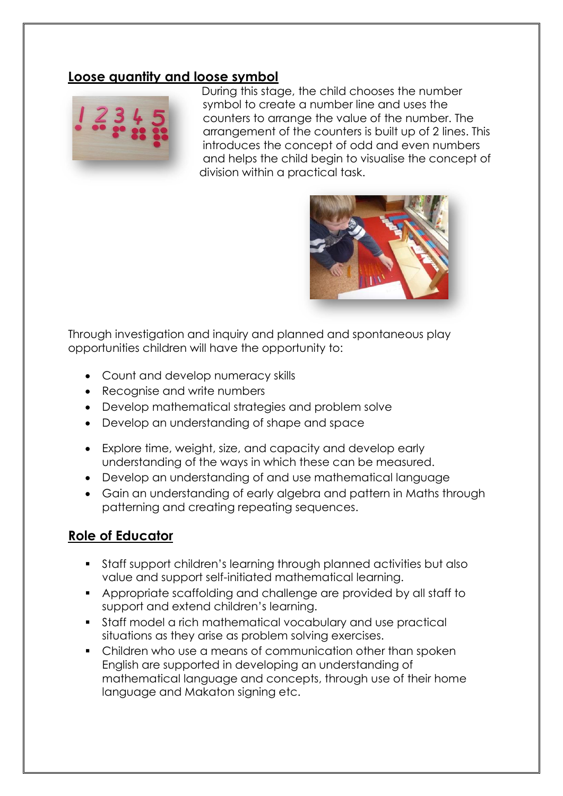#### **[Loose quantity and lo](http://www.google.co.uk/url?sa=i&rct=j&q=&esrc=s&frm=1&source=images&cd=&cad=rja&uact=8&ved=0CAcQjRxqFQoTCOzqu_-EzMcCFcKyFAodnmgMpw&url=http://www.montessorichild.com.au/products/cards-and-counters&ei=AnfgVezhEsLlUp7RsbgK&psig=AFQjCNFAU53BrE5Xr5ETHZNuOn_XQKPw3Q&ust=1440842444156321)ose symbol**



 During this stage, the child chooses the number symbol to create a number line and uses the counters to arrange the value of the number. The arrangement of the counters is built up of 2 lines. This introduces the concept of odd and even numbers and helps the child begin to visualise the concept of division within a practical task.



Through investigation and inquiry and planned and spontaneous play opportunities children will have the opportunity to:

- Count and develop numeracy skills
- Recognise and write numbers
- Develop mathematical strategies and problem solve
- Develop an understanding of shape and space
- Explore time, weight, size, and capacity and develop early understanding of the ways in which these can be measured.
- Develop an understanding of and use mathematical language
- Gain an understanding of early algebra and pattern in Maths through patterning and creating repeating sequences.

### **Role of Educator**

- Staff support children's learning through planned activities but also value and support self-initiated mathematical learning.
- Appropriate scaffolding and challenge are provided by all staff to support and extend children's learning.
- Staff model a rich mathematical vocabulary and use practical situations as they arise as problem solving exercises.
- Children who use a means of communication other than spoken English are supported in developing an understanding of mathematical language and concepts, through use of their home language and Makaton signing etc.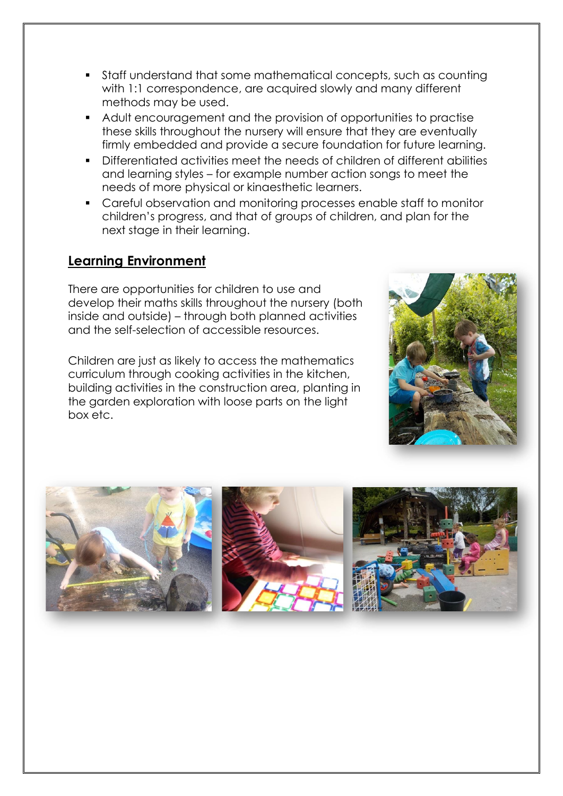- Staff understand that some mathematical concepts, such as counting with 1:1 correspondence, are acquired slowly and many different methods may be used.
- Adult encouragement and the provision of opportunities to practise these skills throughout the nursery will ensure that they are eventually firmly embedded and provide a secure foundation for future learning.
- Differentiated activities meet the needs of children of different abilities and learning styles – for example number action songs to meet the needs of more physical or kinaesthetic learners.
- Careful observation and monitoring processes enable staff to monitor children's progress, and that of groups of children, and plan for the next stage in their learning.

### **Learning Environment**

There are opportunities for children to use and develop their maths skills throughout the nursery (both inside and outside) – through both planned activities and the self-selection of accessible resources.

Children are just as likely to access the mathematics curriculum through cooking activities in the kitchen, building activities in the construction area, planting in the garden exploration with loose parts on the light box etc.







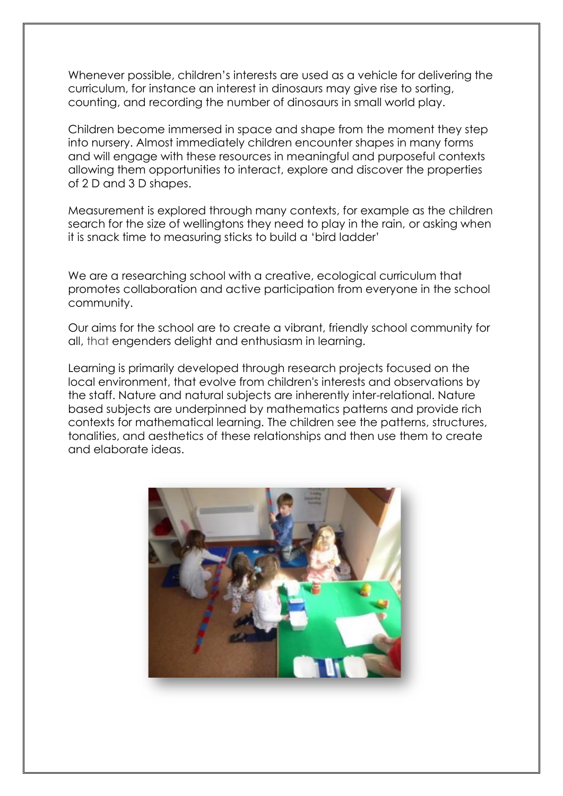Whenever possible, children's interests are used as a vehicle for delivering the curriculum, for instance an interest in dinosaurs may give rise to sorting, counting, and recording the number of dinosaurs in small world play.

Children become immersed in space and shape from the moment they step into nursery. Almost immediately children encounter shapes in many forms and will engage with these resources in meaningful and purposeful contexts allowing them opportunities to interact, explore and discover the properties of 2 D and 3 D shapes.

Measurement is explored through many contexts, for example as the children search for the size of wellingtons they need to play in the rain, or asking when it is snack time to measuring sticks to build a 'bird ladder'

We are a researching school with a creative, ecological curriculum that promotes collaboration and active participation from everyone in the school community.

Our aims for the school are to create a vibrant, friendly school community for all, that engenders delight and enthusiasm in learning.

Learning is primarily developed through research projects focused on the local environment, that evolve from children's interests and observations by the staff. Nature and natural subjects are inherently inter-relational. Nature based subjects are underpinned by mathematics patterns and provide rich contexts for mathematical learning. The children see the patterns, structures, tonalities, and aesthetics of these relationships and then use them to create and elaborate ideas.

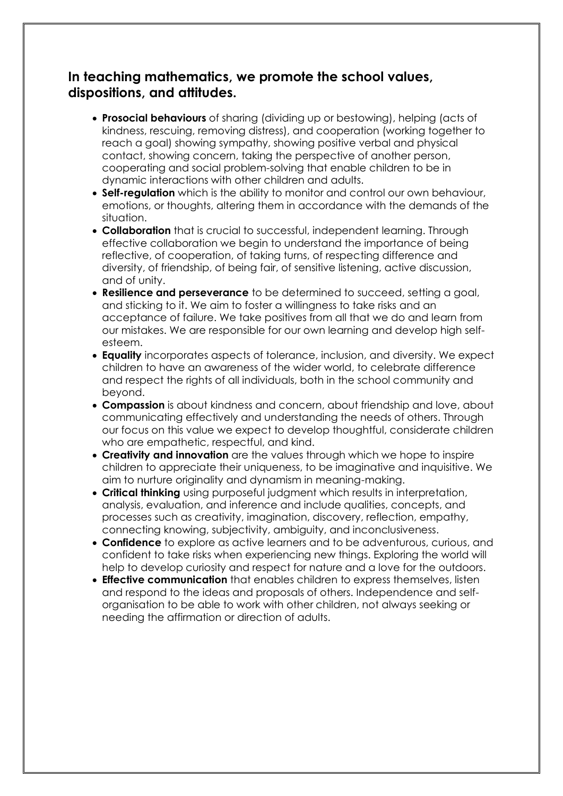#### **In teaching mathematics, we promote the school values, dispositions, and attitudes.**

- **Prosocial behaviours** of sharing (dividing up or bestowing), helping (acts of kindness, rescuing, removing distress), and cooperation (working together to reach a goal) showing sympathy, showing positive verbal and physical contact, showing concern, taking the perspective of another person, cooperating and social problem-solving that enable children to be in dynamic interactions with other children and adults.
- **Self-regulation** which is the ability to monitor and control our own behaviour, emotions, or thoughts, altering them in accordance with the demands of the situation.
- **Collaboration** that is crucial to successful, independent learning. Through effective collaboration we begin to understand the importance of being reflective, of cooperation, of taking turns, of respecting difference and diversity, of friendship, of being fair, of sensitive listening, active discussion, and of unity.
- **Resilience and perseverance** to be determined to succeed, setting a goal, and sticking to it. We aim to foster a willingness to take risks and an acceptance of failure. We take positives from all that we do and learn from our mistakes. We are responsible for our own learning and develop high selfesteem.
- **Equality** incorporates aspects of tolerance, inclusion, and diversity. We expect children to have an awareness of the wider world, to celebrate difference and respect the rights of all individuals, both in the school community and beyond.
- **Compassion** is about kindness and concern, about friendship and love, about communicating effectively and understanding the needs of others. Through our focus on this value we expect to develop thoughtful, considerate children who are empathetic, respectful, and kind.
- **Creativity and innovation** are the values through which we hope to inspire children to appreciate their uniqueness, to be imaginative and inquisitive. We aim to nurture originality and dynamism in meaning-making.
- **Critical thinking** using purposeful judgment which results in interpretation, analysis, evaluation, and inference and include qualities, concepts, and processes such as creativity, imagination, discovery, reflection, empathy, connecting knowing, subjectivity, ambiguity, and inconclusiveness.
- **Confidence** to explore as active learners and to be adventurous, curious, and confident to take risks when experiencing new things. Exploring the world will help to develop curiosity and respect for nature and a love for the outdoors.
- **Effective communication** that enables children to express themselves, listen and respond to the ideas and proposals of others. Independence and selforganisation to be able to work with other children, not always seeking or needing the affirmation or direction of adults.